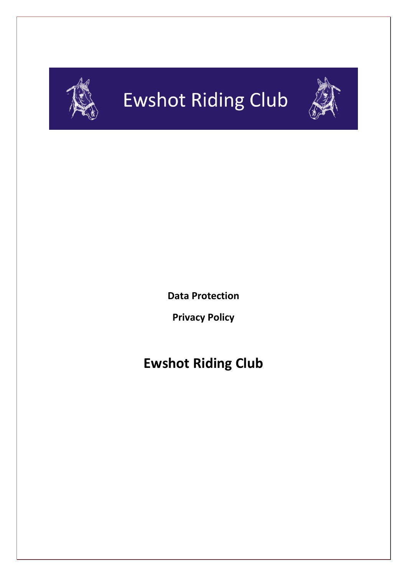

# **Ewshot Riding Club**



**Data Protection**

**Privacy Policy**

## **Ewshot Riding Club**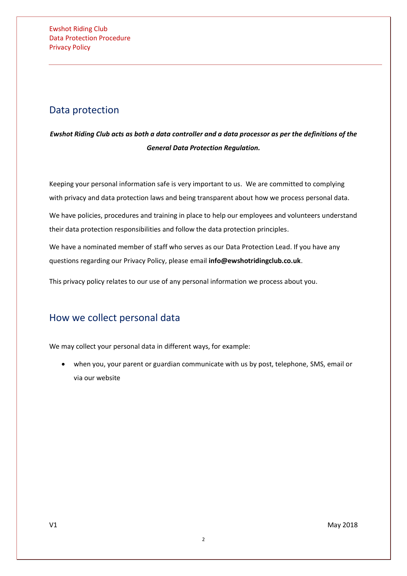## Data protection

*Ewshot Riding Club acts as both a data controller and a data processor as per the definitions of the General Data Protection Regulation.*

Keeping your personal information safe is very important to us. We are committed to complying with privacy and data protection laws and being transparent about how we process personal data.

We have policies, procedures and training in place to help our employees and volunteers understand their data protection responsibilities and follow the data protection principles.

We have a nominated member of staff who serves as our Data Protection Lead. If you have any questions regarding our Privacy Policy, please email **info@ewshotridingclub.co.uk**.

This privacy policy relates to our use of any personal information we process about you.

## How we collect personal data

We may collect your personal data in different ways, for example:

• when you, your parent or guardian communicate with us by post, telephone, SMS, email or via our website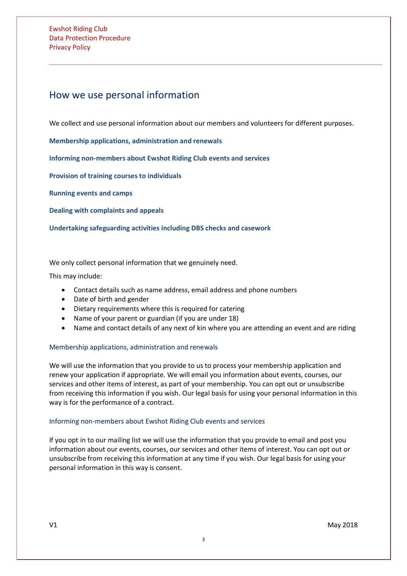Ewshot Riding Club Data Protection Procedure Privacy Policy

### How we use personal information

We collect and use personal information about our members and volunteers for different purposes.

**[Membership applications, administration and renewals](#page-2-0)**

**[Informing non-members about](#page-2-0) Ewshot Riding Club events and services**

**[Provision of training courses to individuals](#page-2-1)** 

**[Running events and camps](#page-3-0)**

**[Dealing with complaints and appeals](#page-3-1)**

**[Undertaking safeguarding activities including DBS checks and casework](#page-3-2)**

We only collect personal information that we genuinely need.

This may include:

- Contact details such as name address, email address and phone numbers
- Date of birth and gender
- Dietary requirements where this is required for catering
- Name of your parent or guardian (if you are under 18)
- Name and contact details of any next of kin where you are attending an event and are riding

#### Membership applications, administration and renewals

We will use the information that you provide to us to process your membership application and renew your application if appropriate. We will email you information about events, courses, our services and other items of interest, as part of your membership. You can opt out or unsubscribe from receiving this information if you wish. Our legal basis for using your personal information in this way is for the performance of a contract.

#### <span id="page-2-0"></span>Informing non-members about Ewshot Riding Club events and services

<span id="page-2-1"></span>If you opt in to our mailing list we will use the information that you provide to email and post you information about our events, courses, our services and other items of interest. You can opt out or unsubscribe from receiving this information at any time if you wish. Our legal basis for using your personal information in this way is consent.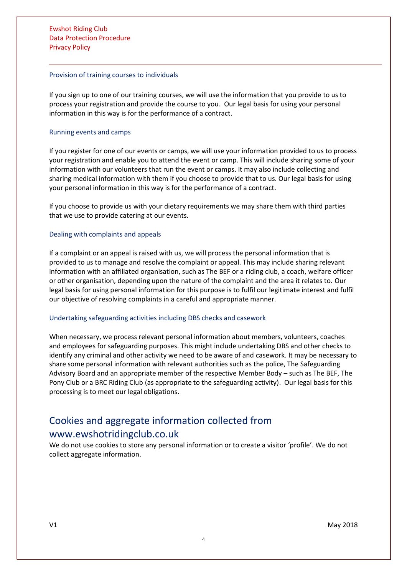#### Provision of training courses to individuals

If you sign up to one of our training courses, we will use the information that you provide to us to process your registration and provide the course to you. Our legal basis for using your personal information in this way is for the performance of a contract.

#### <span id="page-3-0"></span>Running events and camps

If you register for one of our events or camps, we will use your information provided to us to process your registration and enable you to attend the event or camp. This will include sharing some of your information with our volunteers that run the event or camps. It may also include collecting and sharing medical information with them if you choose to provide that to us. Our legal basis for using your personal information in this way is for the performance of a contract.

If you choose to provide us with your dietary requirements we may share them with third parties that we use to provide catering at our events.

#### <span id="page-3-1"></span>Dealing with complaints and appeals

If a complaint or an appeal is raised with us, we will process the personal information that is provided to us to manage and resolve the complaint or appeal. This may include sharing relevant information with an affiliated organisation, such as The BEF or a riding club, a coach, welfare officer or other organisation, depending upon the nature of the complaint and the area it relates to. Our legal basis for using personal information for this purpose is to fulfil our legitimate interest and fulfil our objective of resolving complaints in a careful and appropriate manner.

#### <span id="page-3-2"></span>Undertaking safeguarding activities including DBS checks and casework

When necessary, we process relevant personal information about members, volunteers, coaches and employees for safeguarding purposes. This might include undertaking DBS and other checks to identify any criminal and other activity we need to be aware of and casework. It may be necessary to share some personal information with relevant authorities such as the police, The Safeguarding Advisory Board and an appropriate member of the respective Member Body – such as The BEF, The Pony Club or a BRC Riding Club (as appropriate to the safeguarding activity). Our legal basis for this processing is to meet our legal obligations.

## Cookies and aggregate information collected from www.ewshotridingclub.co.uk

We do not use cookies to store any personal information or to create a visitor 'profile'. We do not collect aggregate information.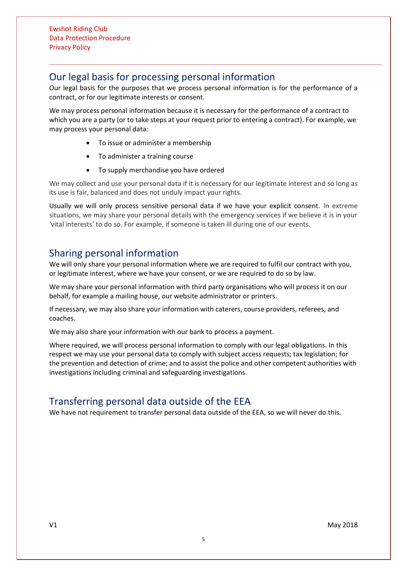## Our legal basis for processing personal information

Our legal basis for the purposes that we process personal information is for the performance of a contract, or for our legitimate interests or consent.

We may process personal information because it is necessary for the performance of a contract to which you are a party (or to take steps at your request prior to entering a contract). For example, we may process your personal data:

- To issue or administer a membership
- To administer a training course
- To supply merchandise you have ordered

We may collect and use your personal data if it is necessary for our legitimate interest and so long as its use is fair, balanced and does not unduly impact your rights.

Usually we will only process sensitive personal data if we have your explicit consent. In extreme situations, we may share your personal details with the emergency services if we believe it is in your 'vital interests' to do so. For example, if someone is taken ill during one of our events.

## Sharing personal information

We will only share your personal information where we are required to fulfil our contract with you, or legitimate interest, where we have your consent, or we are required to do so by law.

We may share your personal information with third party organisations who will process it on our behalf, for example a mailing house, our website administrator or printers.

If necessary, we may also share your information with caterers, course providers, referees, and coaches.

We may also share your information with our bank to process a payment.

Where required, we will process personal information to comply with our legal obligations. In this respect we may use your personal data to comply with subject access requests; tax legislation; for the prevention and detection of crime; and to assist the police and other competent authorities with investigations including criminal and safeguarding investigations.

## Transferring personal data outside of the EEA

We have not requirement to transfer personal data outside of the EEA, so we will never do this.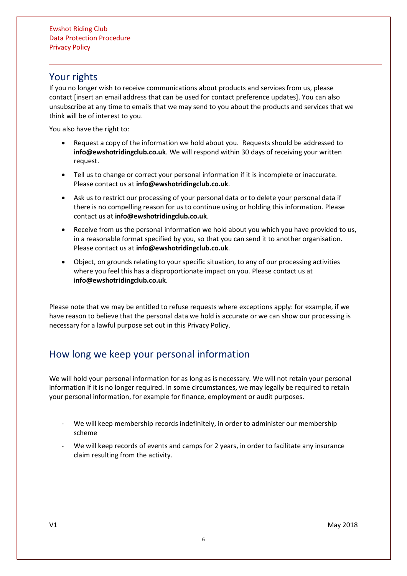## Your rights

If you no longer wish to receive communications about products and services from us, please contact [insert an email address that can be used for contact preference updates]. You can also unsubscribe at any time to emails that we may send to you about the products and services that we think will be of interest to you.

You also have the right to:

- Request a copy of the information we hold about you. Requests should be addressed to **info@ewshotridingclub.co.uk**. We will respond within 30 days of receiving your written request.
- Tell us to change or correct your personal information if it is incomplete or inaccurate. Please contact us at **info@ewshotridingclub.co.uk**.
- Ask us to restrict our processing of your personal data or to delete your personal data if there is no compelling reason for us to continue using or holding this information. Please contact us at **info@ewshotridingclub.co.uk**.
- Receive from us the personal information we hold about you which you have provided to us, in a reasonable format specified by you, so that you can send it to another organisation. Please contact us at **info@ewshotridingclub.co.uk**.
- Object, on grounds relating to your specific situation, to any of our processing activities where you feel this has a disproportionate impact on you. Please contact us at **info@ewshotridingclub.co.uk**.

Please note that we may be entitled to refuse requests where exceptions apply: for example, if we have reason to believe that the personal data we hold is accurate or we can show our processing is necessary for a lawful purpose set out in this Privacy Policy.

## How long we keep your personal information

We will hold your personal information for as long as is necessary. We will not retain your personal information if it is no longer required. In some circumstances, we may legally be required to retain your personal information, for example for finance, employment or audit purposes.

- We will keep membership records indefinitely, in order to administer our membership scheme
- We will keep records of events and camps for 2 years, in order to facilitate any insurance claim resulting from the activity.